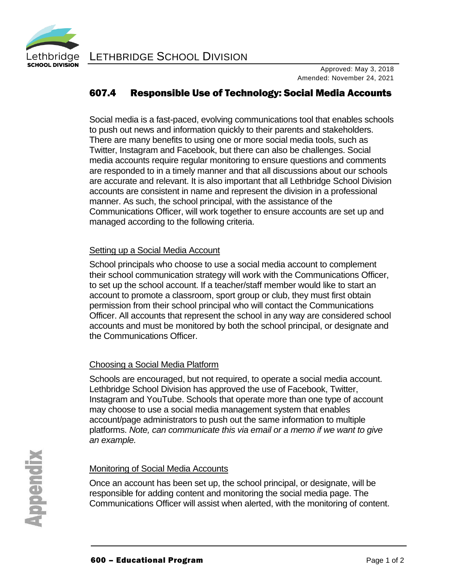

# 607.4 Responsible Use of Technology: Social Media Accounts

Social media is a fast-paced, evolving communications tool that enables schools to push out news and information quickly to their parents and stakeholders. There are many benefits to using one or more social media tools, such as Twitter, Instagram and Facebook, but there can also be challenges. Social media accounts require regular monitoring to ensure questions and comments are responded to in a timely manner and that all discussions about our schools are accurate and relevant. It is also important that all Lethbridge School Division accounts are consistent in name and represent the division in a professional manner. As such, the school principal, with the assistance of the Communications Officer, will work together to ensure accounts are set up and managed according to the following criteria.

### Setting up a Social Media Account

School principals who choose to use a social media account to complement their school communication strategy will work with the Communications Officer, to set up the school account. If a teacher/staff member would like to start an account to promote a classroom, sport group or club, they must first obtain permission from their school principal who will contact the Communications Officer. All accounts that represent the school in any way are considered school accounts and must be monitored by both the school principal, or designate and the Communications Officer.

### Choosing a Social Media Platform

Schools are encouraged, but not required, to operate a social media account. Lethbridge School Division has approved the use of Facebook, Twitter, Instagram and YouTube. Schools that operate more than one type of account may choose to use a social media management system that enables account/page administrators to push out the same information to multiple platforms. *Note, can communicate this via email or a memo if we want to give an example.*

## Monitoring of Social Media Accounts

Once an account has been set up, the school principal, or designate, will be responsible for adding content and monitoring the social media page. The Communications Officer will assist when alerted, with the monitoring of content.